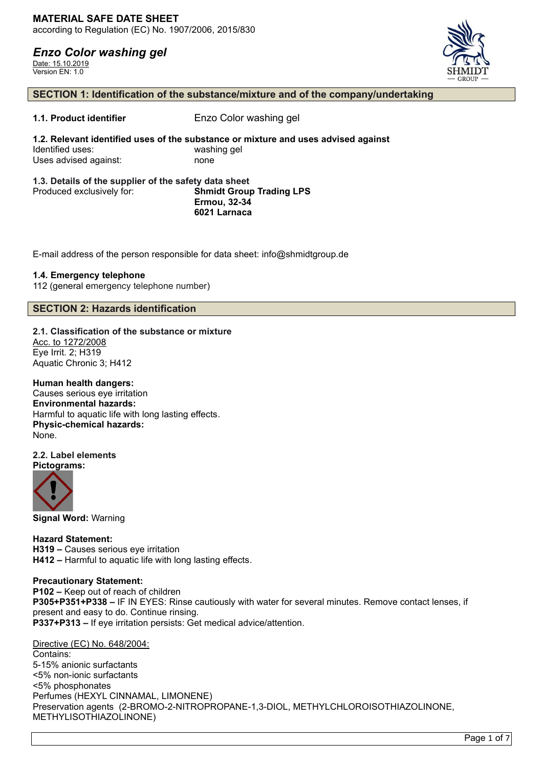Date: 15.10.2019 Version EN: 1.0



### **SECTION 1: Identification of the substance/mixture and of the company/undertaking**

**1.1. Product identifier** Enzo Color washing gel

**1.2. Relevant identified uses of the substance or mixture and uses advised against** Identified uses: washing gel Uses advised against: none

#### **1.3. Details of the supplier of the safety data sheet** Produced exclusively for: **Shmidt Group Trading LPS Ermou, 32-34 6021 Larnaca**

E-mail address of the person responsible for data sheet: info@shmidtgroup.de

### **1.4. Emergency telephone**

112 (general emergency telephone number)

### **SECTION 2: Hazards identification**

**2.1. Classification of the substance or mixture** Acc. to 1272/2008

Eye Irrit. 2; H319 Aquatic Chronic 3; H412

### **Human health dangers:**

Causes serious eye irritation **Environmental hazards:** Harmful to aquatic life with long lasting effects. **Physic-chemical hazards:** None.

#### **2.2. Label elements Pictograms:**



**Signal Word:** Warning

**Hazard Statement: H319 –** Causes serious eye irritation **H412 –** Harmful to aquatic life with long lasting effects.

### **Precautionary Statement:**

**P102 –** Keep out of reach of children **P305+P351+P338 –** IF IN EYES: Rinse cautiously with water for several minutes. Remove contact lenses, if present and easy to do. Continue rinsing. **P337+P313 –** If eye irritation persists: Get medical advice/attention.

Directive (EC) No. 648/2004:

Contains: 5-15% anionic surfactants <5% non-ionic surfactants <5% phosphonates Perfumes (HEXYL CINNAMAL, LIMONENE) Preservation agents (2-BROMO-2-NITROPROPANE-1,3-DIOL, METHYLCHLOROISOTHIAZOLINONE, METHYLISOTHIAZOLINONE)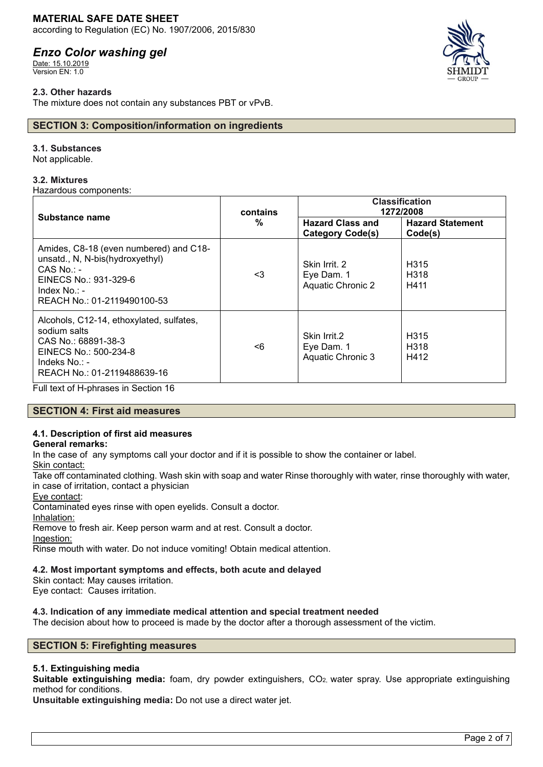### **MATERIAL SAFE DATE SHEET**

according to Regulation (EC) No. 1907/2006, 2015/830

# *Enzo Color washing gel*

Date: 15.10.2019 Version EN: 1.0

### **2.3. Other hazards**

The mixture does not contain any substances PBT or vPvB.

### **SECTION 3: Composition/information on ingredients**

### **3.1. Substances**

Not applicable.

### **3.2. Mixtures**

Hazardous components:

| Substance name                                                                                                                                                       | contains<br>% | <b>Classification</b><br>1272/2008                      |                                               |
|----------------------------------------------------------------------------------------------------------------------------------------------------------------------|---------------|---------------------------------------------------------|-----------------------------------------------|
|                                                                                                                                                                      |               | <b>Hazard Class and</b><br><b>Category Code(s)</b>      | <b>Hazard Statement</b><br>Code(s)            |
| Amides, C8-18 (even numbered) and C18-<br>unsatd., N, N-bis(hydroxyethyl)<br>$CAS$ No.: -<br>EINECS No.: 931-329-6<br>Index $No. : -$<br>REACH No.: 01-2119490100-53 | <3            | Skin Irrit, 2<br>Eye Dam. 1<br><b>Aquatic Chronic 2</b> | H <sub>315</sub><br>H <sub>318</sub><br>H411  |
| Alcohols, C12-14, ethoxylated, sulfates,<br>sodium salts<br>CAS No.: 68891-38-3<br>EINECS No.: 500-234-8<br>Indeks No.: -<br>REACH No.: 01-2119488639-16             | <6            | Skin Irrit.2<br>Eye Dam. 1<br>Aquatic Chronic 3         | H <sub>315</sub><br>H <sub>3</sub> 18<br>H412 |

Full text of H-phrases in Section 16

### **SECTION 4: First aid measures**

### **4.1. Description of first aid measures**

### **General remarks:**

In the case of any symptoms call your doctor and if it is possible to show the container or label.

Skin contact:

Take off contaminated clothing. Wash skin with soap and water Rinse thoroughly with water, rinse thoroughly with water, in case of irritation, contact a physician

Eye contact:

Contaminated eyes rinse with open eyelids. Consult a doctor.

Inhalation:

Remove to fresh air. Keep person warm and at rest. Consult a doctor.

Ingestion:

Rinse mouth with water. Do not induce vomiting! Obtain medical attention.

### **4.2. Most important symptoms and effects, both acute and delayed**

Skin contact: May causes irritation.

Eye contact: Causes irritation.

### **4.3. Indication of any immediate medical attention and special treatment needed**

The decision about how to proceed is made by the doctor after a thorough assessment of the victim.

### **SECTION 5: Firefighting measures**

### **5.1. Extinguishing media**

**Suitable extinguishing media:** foam, dry powder extinguishers, CO2, water spray. Use appropriate extinguishing method for conditions.

**Unsuitable extinguishing media:** Do not use a direct water jet.

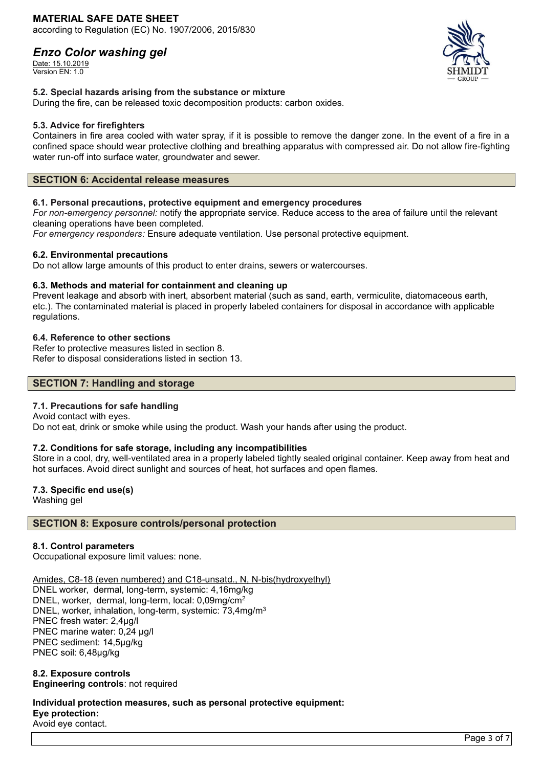Date: 15.10.2019 Version EN: 1.0



### **5.2. Special hazards arising from the substance or mixture**

During the fire, can be released toxic decomposition products: carbon oxides.

### **5.3. Advice for firefighters**

Containers in fire area cooled with water spray, if it is possible to remove the danger zone. In the event of a fire in a confined space should wear protective clothing and breathing apparatus with compressed air. Do not allow fire-fighting water run-off into surface water, groundwater and sewer.

### **SECTION 6: Accidental release measures**

### **6.1. Personal precautions, protective equipment and emergency procedures**

*For non-emergency personnel:* notify the appropriate service. Reduce access to the area of failure until the relevant cleaning operations have been completed.

*For emergency responders:* Ensure adequate ventilation. Use personal protective equipment.

### **6.2. Environmental precautions**

Do not allow large amounts of this product to enter drains, sewers or watercourses.

### **6.3. Methods and material for containment and cleaning up**

Prevent leakage and absorb with inert, absorbent material (such as sand, earth, vermiculite, diatomaceous earth, etc.). The contaminated material is placed in properly labeled containers for disposal in accordance with applicable regulations.

### **6.4. Reference to other sections**

Refer to protective measures listed in section 8. Refer to disposal considerations listed in section 13.

### **SECTION 7: Handling and storage**

### **7.1. Precautions for safe handling**

Avoid contact with eyes. Do not eat, drink or smoke while using the product. Wash your hands after using the product.

### **7.2. Conditions for safe storage, including any incompatibilities**

Store in a cool, dry, well-ventilated area in a properly labeled tightly sealed original container. Keep away from heat and hot surfaces. Avoid direct sunlight and sources of heat, hot surfaces and open flames.

### **7.3. Specific end use(s)**

Washing gel

### **SECTION 8: Exposure controls/personal protection**

### **8.1. Control parameters**

Occupational exposure limit values: none.

Amides, C8-18 (even numbered) and C18-unsatd., N, N-bis(hydroxyethyl)

DNEL worker, dermal, long-term, systemic: 4,16mg/kg DNEL, worker, dermal, long-term, local: 0,09mg/cm<sup>2</sup> DNEL, worker, inhalation, long-term, systemic: 73,4mg/m<sup>3</sup> PNEC fresh water: 2,4µg/l PNEC marine water: 0,24 µg/l PNEC sediment: 14,5µg/kg PNEC soil: 6,48µg/kg

### **8.2. Exposure controls Engineering controls**: not required

**Individual protection measures, such as personal protective equipment: Eye protection:** Avoid eye contact.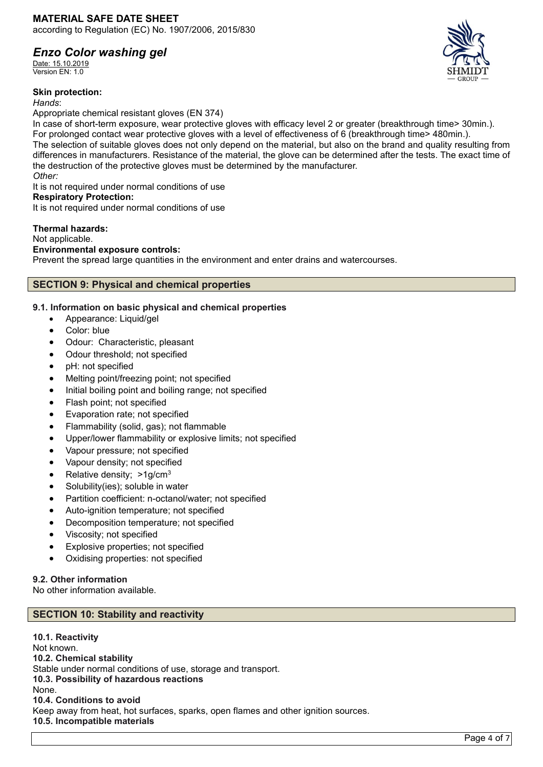Date: 15.10.2019 Version EN: 1.0

### **Skin protection:**

*Hands*:

Appropriate chemical resistant gloves (EN 374)

In case of short-term exposure, wear protective gloves with efficacy level 2 or greater (breakthrough time> 30min.). For prolonged contact wear protective gloves with a level of effectiveness of 6 (breakthrough time> 480min.). The selection of suitable gloves does not only depend on the material, but also on the brand and quality resulting from differences in manufacturers. Resistance of the material, the glove can be determined after the tests. The exact time of the destruction of the protective gloves must be determined by the manufacturer. *Other:*

It is not required under normal conditions of use

### **Respiratory Protection:**

It is not required under normal conditions of use

### **Thermal hazards:**

Not applicable.

### **Environmental exposure controls:**

Prevent the spread large quantities in the environment and enter drains and watercourses.

### **SECTION 9: Physical and chemical properties**

### **9.1. Information on basic physical and chemical properties**

- Appearance: Liquid/gel
- Color: blue
- Odour: Characteristic, pleasant
- Odour threshold; not specified
- pH: not specified
- Melting point/freezing point; not specified
- Initial boiling point and boiling range; not specified
- Flash point; not specified
- Evaporation rate; not specified
- Flammability (solid, gas); not flammable
- Upper/lower flammability or explosive limits; not specified
- Vapour pressure; not specified
- Vapour density; not specified
- Relative density: >1g/cm<sup>3</sup>
- Solubility(ies); soluble in water
- Partition coefficient: n-octanol/water; not specified
- Auto-ignition temperature; not specified
- Decomposition temperature; not specified
- Viscosity; not specified
- Explosive properties; not specified
- Oxidising properties: not specified

### **9.2. Other information**

No other information available.

### **SECTION 10: Stability and reactivity**

**10.1. Reactivity** Not known. **10.2. Chemical stability** Stable under normal conditions of use, storage and transport. **10.3. Possibility of hazardous reactions** None. **10.4. Conditions to avoid** Keep away from heat, hot surfaces, sparks, open flames and other ignition sources. **10.5. Incompatible materials**

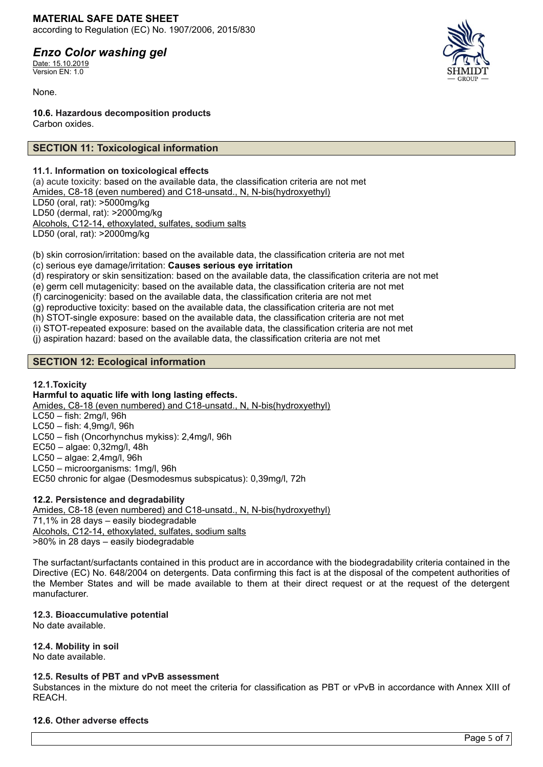### **MATERIAL SAFE DATE SHEET** according to Regulation (EC) No. 1907/2006, 2015/830

# *Enzo Color washing gel*

Date: 15.10.2019 Version EN: 1.0

None.

**10.6. Hazardous decomposition products** Carbon oxides.

### **SECTION 11: Toxicological information**

### **11.1. Information on toxicological effects**

(a) acute toxicity: based on the available data, the classification criteria are not met Amides, C8-18 (even numbered) and C18-unsatd., N, N-bis(hydroxyethyl) LD50 (oral, rat): >5000mg/kg LD50 (dermal, rat): >2000mg/kg Alcohols, C12-14, ethoxylated, sulfates, sodium salts LD50 (oral, rat): >2000mg/kg

(b) skin corrosion/irritation: based on the available data, the classification criteria are not met (c) serious eye damage/irritation: **Causes serious eye irritation**

(d) respiratory or skin sensitization: based on the available data, the classification criteria are not met

(e) germ cell mutagenicity: based on the available data, the classification criteria are not met

(f) carcinogenicity: based on the available data, the classification criteria are not met

(g) reproductive toxicity: based on the available data, the classification criteria are not met

(h) STOT-single exposure: based on the available data, the classification criteria are not met

(i) STOT-repeated exposure: based on the available data, the classification criteria are not met

(j) aspiration hazard: based on the available data, the classification criteria are not met

### **SECTION 12: Ecological information**

### **12.1.Toxicity**

### **Harmful to aquatic life with long lasting effects.**

Amides, C8-18 (even numbered) and C18-unsatd., N, N-bis(hydroxyethyl)

LC50 – fish: 2mg/l, 96h

LC50 – fish: 4,9mg/l, 96h LC50 – fish (Oncorhynchus mykiss): 2,4mg/l, 96h

EC50 – algae: 0,32mg/l, 48h

LC50 – algae: 2,4mg/l, 96h

LC50 – microorganisms: 1mg/l, 96h

EC50 chronic for algae (Desmodesmus subspicatus): 0,39mg/l, 72h

### **12.2. Persistence and degradability**

Amides, C8-18 (even numbered) and C18-unsatd., N, N-bis(hydroxyethyl) 71,1% in 28 days – easily biodegradable Alcohols, C12-14, ethoxylated, sulfates, sodium salts >80% in 28 days – easily biodegradable

The surfactant/surfactants contained in this product are in accordance with the biodegradability criteria contained in the Directive (EC) No. 648/2004 on detergents. Data confirming this fact is at the disposal of the competent authorities of the Member States and will be made available to them at their direct request or at the request of the detergent manufacturer.

### **12.3. Bioaccumulative potential**

No date available.

### **12.4. Mobility in soil**

No date available.

### **12.5. Results of PBT and vPvB assessment**

Substances in the mixture do not meet the criteria for classification as PBT or vPvB in accordance with Annex XIII of REACH.

### **12.6. Other adverse effects**

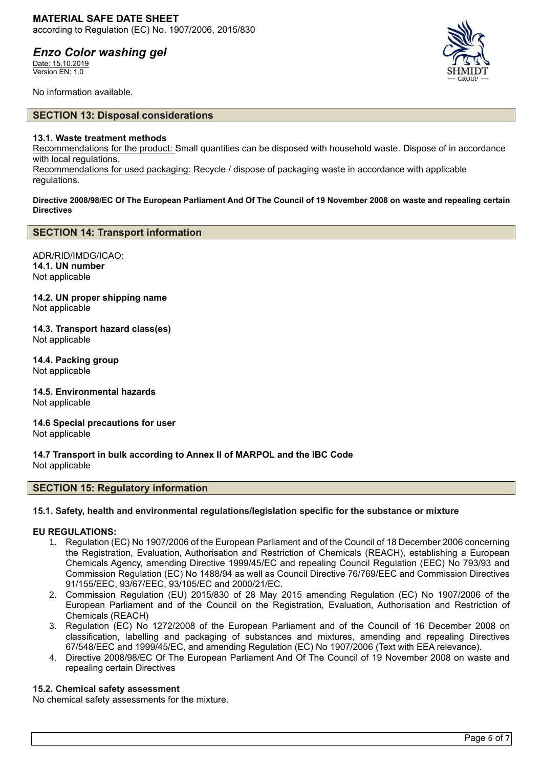Date: 15.10.2019 Version EN: 1.0



No information available.

### **SECTION 13: Disposal considerations**

### **13.1. Waste treatment methods**

Recommendations for the product: Small quantities can be disposed with household waste. Dispose of in accordance with local regulations.

Recommendations for used packaging: Recycle / dispose of packaging waste in accordance with applicable regulations.

**Directive 2008/98/EC Of The European Parliament And Of The Council of 19 November 2008 on waste and repealing certain Directives**

### **SECTION 14: Transport information**

ADR/RID/IMDG/ICAO: **14.1. UN number** Not applicable

**14.2. UN proper shipping name** Not applicable

**14.3. Transport hazard class(es)** Not applicable

**14.4. Packing group** Not applicable

**14.5. Environmental hazards** Not applicable

**14.6 Special precautions for user** Not applicable

**14.7 Transport in bulk according to Annex II of MARPOL and the IBC Code** Not applicable

### **SECTION 15: Regulatory information**

### **15.1. Safety, health and environmental regulations/legislation specific for the substance or mixture**

### **EU REGULATIONS:**

- 1. Regulation (EC) No 1907/2006 of the European Parliament and of the Council of 18 December 2006 concerning the Registration, Evaluation, Authorisation and Restriction of Chemicals (REACH), establishing a European Chemicals Agency, amending Directive 1999/45/EC and repealing Council Regulation (EEC) No 793/93 and Commission Regulation (EC) No 1488/94 as well as Council Directive 76/769/EEC and Commission Directives 91/155/EEC, 93/67/EEC, 93/105/EC and 2000/21/EC.
- 2. Commission Regulation (EU) 2015/830 of 28 May 2015 amending Regulation (EC) No 1907/2006 of the European Parliament and of the Council on the Registration, Evaluation, Authorisation and Restriction of Chemicals (REACH)
- 3. Regulation (EC) No 1272/2008 of the European Parliament and of the Council of 16 December 2008 on classification, labelling and packaging of substances and mixtures, amending and repealing Directives 67/548/EEC and 1999/45/EC, and amending Regulation (EC) No 1907/2006 (Text with EEA relevance).
- 4. Directive 2008/98/EC Of The European Parliament And Of The Council of 19 November 2008 on waste and repealing certain Directives

### **15.2. Chemical safety assessment**

No chemical safety assessments for the mixture.